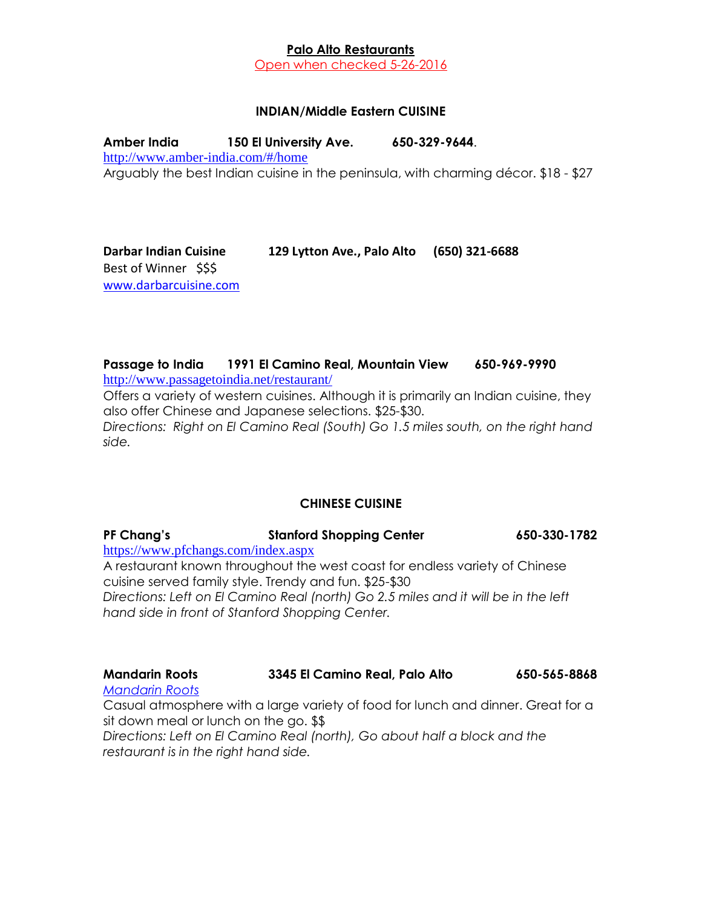### **Palo Alto Restaurants**

Open when checked 5-26-2016

#### **INDIAN/Middle Eastern CUISINE**

**Amber India 150 El University Ave. 650-329-9644**. <http://www.amber-india.com/#/home> Arguably the best Indian cuisine in the peninsula, with charming décor. \$18 - \$27

**Darbar Indian Cuisine 129 Lytton Ave., Palo Alto (650) 321-6688** Best of Winner \$\$\$ [www.darbarcuisine.com](http://digi-net.ws/cus1163/) 

## **Passage to India 1991 El Camino Real, Mountain View 650-969-9990**

<http://www.passagetoindia.net/restaurant/>

Offers a variety of western cuisines. Although it is primarily an Indian cuisine, they also offer Chinese and Japanese selections. \$25-\$30. *Directions: Right on El Camino Real (South) Go 1.5 miles south, on the right hand side.*

## **CHINESE CUISINE**

**PF Chang's Stanford Shopping Center 650-330-1782** <https://www.pfchangs.com/index.aspx> A restaurant known throughout the west coast for endless variety of Chinese

cuisine served family style. Trendy and fun. \$25-\$30 *Directions: Left on El Camino Real (north) Go 2.5 miles and it will be in the left hand side in front of Stanford Shopping Center.*

| <b>Mandarin Roots</b> | 3345 El Camino Real, Palo Alto | 650-565-8868 |
|-----------------------|--------------------------------|--------------|
| Mandarin Roots        |                                |              |

*[Mandarin Roots](http://www.mandarinroots.com/)*

Casual atmosphere with a large variety of food for lunch and dinner. Great for a sit down meal or lunch on the go. \$\$

*Directions: Left on El Camino Real (north), Go about half a block and the restaurant is in the right hand side.*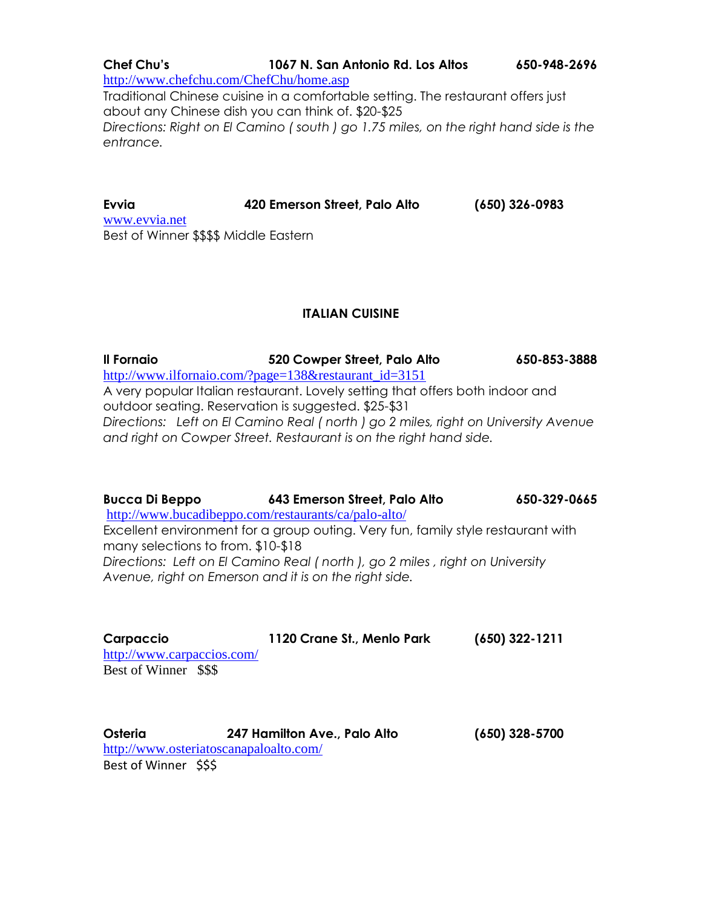**Chef Chu's 1067 N. San Antonio Rd. Los Altos 650-948-2696** <http://www.chefchu.com/ChefChu/home.asp> Traditional Chinese cuisine in a comfortable setting. The restaurant offers just about any Chinese dish you can think of. \$20-\$25 *Directions: Right on El Camino ( south ) go 1.75 miles, on the right hand side is the entrance.*

**Evvia 420 Emerson Street, Palo Alto (650) 326-0983** [www.evvia.net](http://www.evvia.net/) Best of Winner \$\$\$\$ Middle Eastern

## **ITALIAN CUISINE**

**Il Fornaio 520 Cowper Street, Palo Alto 650-853-3888** [http://www.ilfornaio.com/?page=138&restaurant\\_id=3151](http://www.ilfornaio.com/?page=138&restaurant_id=3151) A very popular Italian restaurant. Lovely setting that offers both indoor and outdoor seating. Reservation is suggested. \$25-\$31 *Directions: Left on El Camino Real ( north ) go 2 miles, right on University Avenue and right on Cowper Street. Restaurant is on the right hand side.*

**Bucca Di Beppo 643 Emerson Street, Palo Alto 650-329-0665** <http://www.bucadibeppo.com/restaurants/ca/palo-alto/> Excellent environment for a group outing. Very fun, family style restaurant with many selections to from. \$10-\$18 *Directions: Left on El Camino Real ( north ), go 2 miles , right on University Avenue, right on Emerson and it is on the right side.*

| Carpaccio                  | 1120 Crane St., Menlo Park | $(650)$ 322-1211 |
|----------------------------|----------------------------|------------------|
| http://www.carpaccios.com/ |                            |                  |
| Best of Winner \$\$\$      |                            |                  |
|                            |                            |                  |

| <b>Osteria</b>        | 247 Hamilton Ave., Palo Alto           | $(650)$ 328-5700 |
|-----------------------|----------------------------------------|------------------|
|                       | http://www.osteriatoscanapaloalto.com/ |                  |
| Best of Winner \$\$\$ |                                        |                  |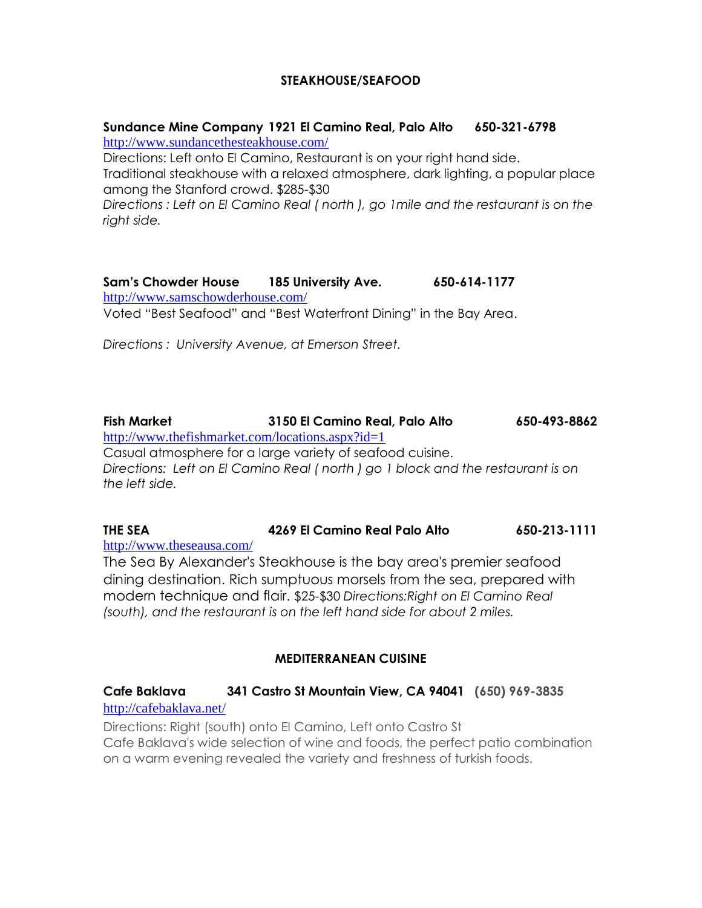### **STEAKHOUSE/SEAFOOD**

#### **Sundance Mine Company 1921 El Camino Real, Palo Alto 650-321-6798** <http://www.sundancethesteakhouse.com/>

Directions: Left onto El Camino, Restaurant is on your right hand side. Traditional steakhouse with a relaxed atmosphere, dark lighting, a popular place among the Stanford crowd. \$285-\$30 *Directions : Left on El Camino Real ( north ), go 1mile and the restaurant is on the right side.*

**Sam's Chowder House 185 University Ave. 650-614-1177** <http://www.samschowderhouse.com/> Voted "Best Seafood" and "Best Waterfront Dining" in the Bay Area.

*Directions : University Avenue, at Emerson Street.*

**Fish Market 3150 El Camino Real, Palo Alto 650-493-8862** <http://www.thefishmarket.com/locations.aspx?id=1> Casual atmosphere for a large variety of seafood cuisine. *Directions: Left on El Camino Real ( north ) go 1 block and the restaurant is on the left side.*

**THE SEA 4269 El Camino Real Palo Alto 650-213-1111** <http://www.theseausa.com/>

The Sea By Alexander's Steakhouse is the bay area's premier seafood dining destination. Rich sumptuous morsels from the sea, prepared with modern technique and flair. \$25-\$30 *Directions:Right on El Camino Real (south), and the restaurant is on the left hand side for about 2 miles.*

## **MEDITERRANEAN CUISINE**

#### **Cafe Baklava 341 Castro St Mountain View, CA 94041 (650) 969-3835**

#### <http://cafebaklava.net/>

Directions: Right (south) onto El Camino, Left onto Castro St Cafe Baklava's wide selection of wine and foods, the perfect patio combination on a warm evening revealed the variety and freshness of turkish foods.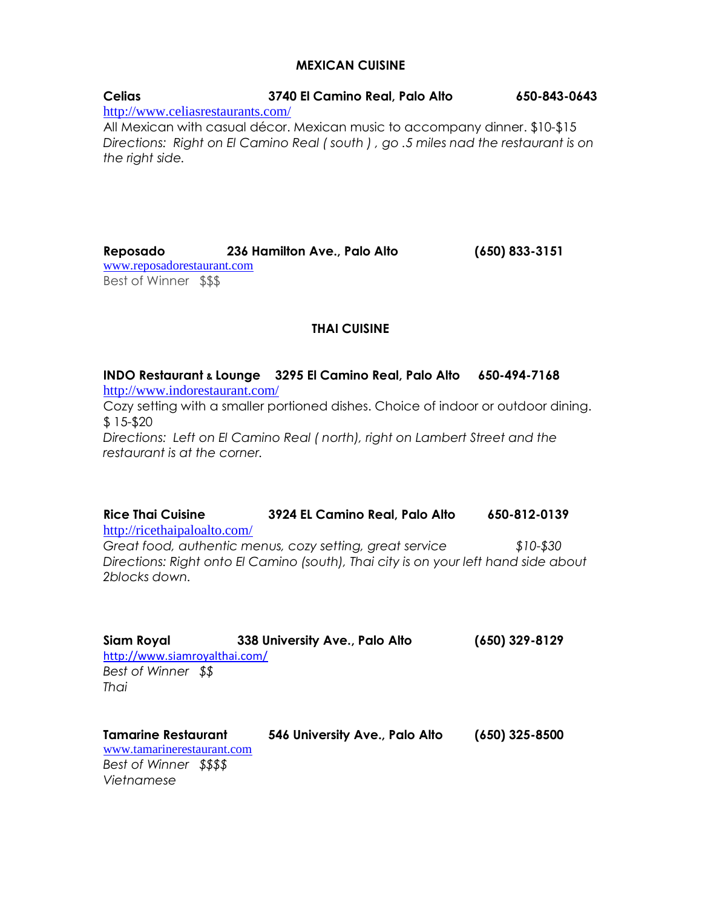#### **MEXICAN CUISINE**

| <b>Celias</b>                     | 3740 El Camino Real, Palo Alto                                                                                                                                   | 650-843-0643 |
|-----------------------------------|------------------------------------------------------------------------------------------------------------------------------------------------------------------|--------------|
| http://www.celiasrestaurants.com/ |                                                                                                                                                                  |              |
| the right side.                   | All Mexican with casual décor. Mexican music to accompany dinner. \$10-\$15<br>Directions: Right on El Camino Real (south), go .5 miles nad the restaurant is on |              |

**Reposado 236 Hamilton Ave., Palo Alto (650) 833-3151** [www.reposadorestaurant.com](http://www.reposadorestaurant.com/) Best of Winner \$\$\$

## **THAI CUISINE**

**INDO Restaurant & Lounge 3295 El Camino Real, Palo Alto 650-494-7168** <http://www.indorestaurant.com/>

Cozy setting with a smaller portioned dishes. Choice of indoor or outdoor dining. \$ 15-\$20

*Directions: Left on El Camino Real ( north), right on Lambert Street and the restaurant is at the corner.*

**Rice Thai Cuisine 3924 EL Camino Real, Palo Alto 650-812-0139** <http://ricethaipaloalto.com/> *Great food, authentic menus, cozy setting, great service \$10-\$30 Directions: Right onto El Camino (south), Thai city is on your left hand side about 2blocks down.*

| Siam Royal<br>http://www.siamroyalthai.com/              | 338 University Ave., Palo Alto | $(650)$ 329-8129 |
|----------------------------------------------------------|--------------------------------|------------------|
| Best of Winner \$\$                                      |                                |                  |
| Thai                                                     |                                |                  |
|                                                          |                                |                  |
| <b>Tamarine Restaurant</b><br>www.tamarinerestaurant.com | 546 University Ave., Palo Alto | $(650)$ 325-8500 |
| Best of Winner \$\$\$\$<br>Vietnamese                    |                                |                  |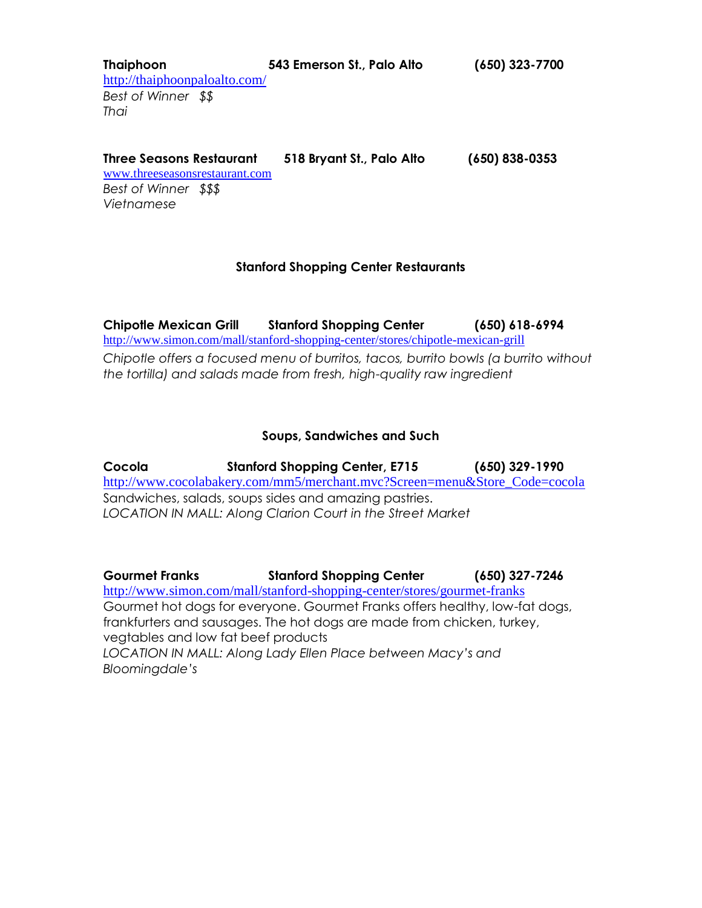**Thaiphoon 543 Emerson St., Palo Alto (650) 323-7700**  <http://thaiphoonpaloalto.com/> *Best of Winner \$\$ Thai* 

**[Three Seasons Restaurant](http://www.destinationpaloalto.com/biz/d/three-seasons-restaurant?listing_id=693) 518 Bryant St., Palo Alto (650) 838-0353**

[www.threeseasonsrestaurant.com](http://www.threeseasonsrestaurant.com/) *Best of Winner \$\$\$ Vietnamese* 

## **Stanford Shopping Center Restaurants**

**Chipotle Mexican Grill Stanford Shopping Center (650) 618-6994** <http://www.simon.com/mall/stanford-shopping-center/stores/chipotle-mexican-grill> *Chipotle offers a focused menu of burritos, tacos, burrito bowls (a burrito without the tortilla) and salads made from fresh, high-quality raw ingredient*

## **Soups, Sandwiches and Such**

**Cocola Stanford Shopping Center, E715 (650) 329-1990** [http://www.cocolabakery.com/mm5/merchant.mvc?Screen=menu&Store\\_Code=cocola](http://www.cocolabakery.com/mm5/merchant.mvc?Screen=menu&Store_Code=cocola) Sandwiches, salads, soups sides and amazing pastries. *LOCATION IN MALL: Along Clarion Court in the Street Market*

**Gourmet Franks Stanford Shopping Center (650) 327-7246** <http://www.simon.com/mall/stanford-shopping-center/stores/gourmet-franks> Gourmet hot dogs for everyone. Gourmet Franks offers healthy, low-fat dogs, frankfurters and sausages. The hot dogs are made from chicken, turkey, vegtables and low fat beef products *LOCATION IN MALL: Along Lady Ellen Place between Macy's and Bloomingdale's*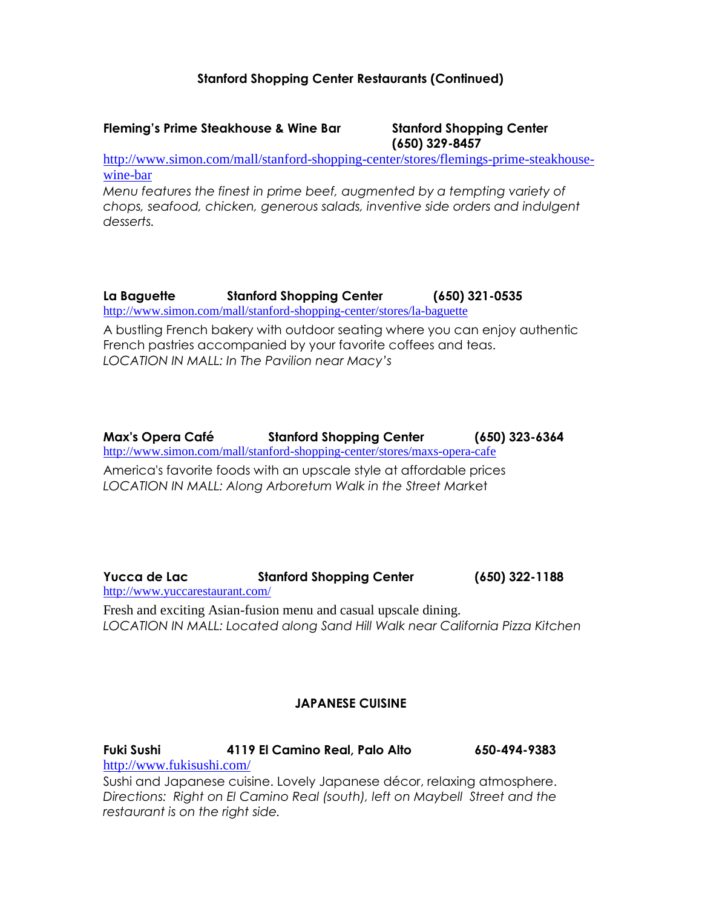## **Stanford Shopping Center Restaurants (Continued)**

#### **Fleming's Prime Steakhouse & Wine Bar Stanford Shopping Center**

**(650) 329-8457**

[http://www.simon.com/mall/stanford-shopping-center/stores/flemings-prime-steakhouse](http://www.simon.com/mall/stanford-shopping-center/stores/flemings-prime-steakhouse-wine-bar)[wine-bar](http://www.simon.com/mall/stanford-shopping-center/stores/flemings-prime-steakhouse-wine-bar)

*Menu features the finest in prime beef, augmented by a tempting variety of chops, seafood, chicken, generous salads, inventive side orders and indulgent desserts.* 

**La Baguette Stanford Shopping Center (650) 321-0535** <http://www.simon.com/mall/stanford-shopping-center/stores/la-baguette>

A bustling French bakery with outdoor seating where you can enjoy authentic French pastries accompanied by your favorite coffees and teas. *LOCATION IN MALL: In The Pavilion near Macy's*

**Max's Opera Café Stanford Shopping Center (650) 323-6364** <http://www.simon.com/mall/stanford-shopping-center/stores/maxs-opera-cafe>

America's favorite foods with an upscale style at affordable prices *LOCATION IN MALL: Along Arboretum Walk in the Street Mar*ket

**Yucca de Lac Stanford Shopping Center (650) 322-1188** <http://www.yuccarestaurant.com/> Fresh and exciting Asian-fusion menu and casual upscale dining. *LOCATION IN MALL: Located along Sand Hill Walk near California Pizza Kitchen*

## **JAPANESE CUISINE**

**Fuki Sushi 4119 El Camino Real, Palo Alto 650-494-9383** <http://www.fukisushi.com/>

Sushi and Japanese cuisine. Lovely Japanese décor, relaxing atmosphere. *Directions: Right on El Camino Real (south), left on Maybell Street and the restaurant is on the right side.*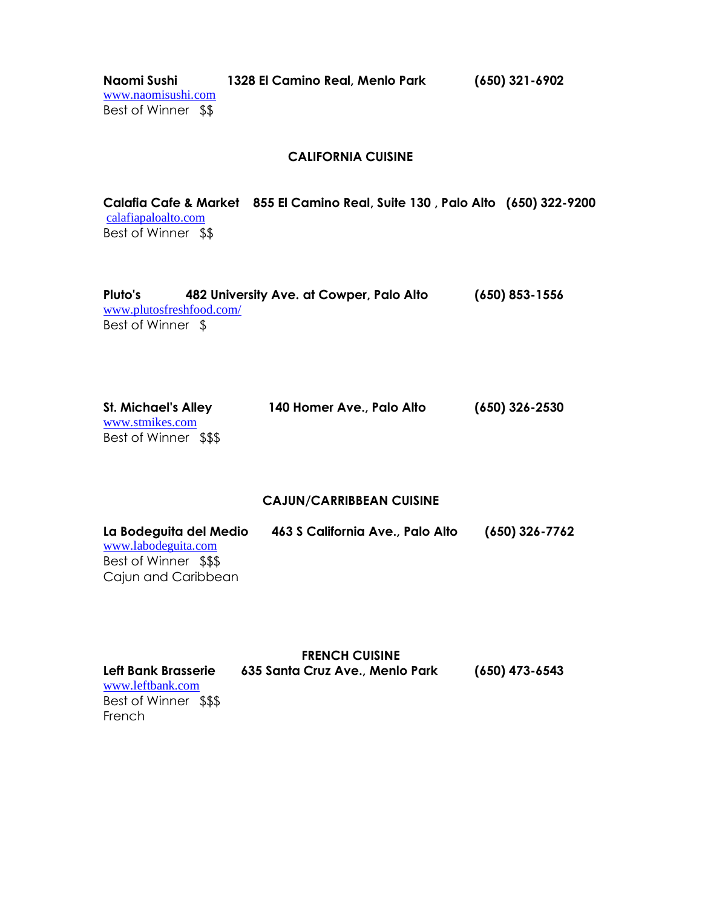**Naomi Sushi 1328 El Camino Real, Menlo Park (650) 321-6902** 

[www.naomisushi.com](http://www.naomisushi.com/) Best of Winner \$\$

#### **CALIFORNIA CUISINE**

**Calafia Cafe & Market 855 El Camino Real, Suite 130 , Palo Alto (650) 322-9200**  [calafiapaloalto.com](http://calafiapaloalto.com/) Best of Winner \$\$

| Pluto's           | 482 University Ave. at Cowper, Palo Alto | $(650)$ 853-1556 |
|-------------------|------------------------------------------|------------------|
|                   | www.plutosfreshfood.com/                 |                  |
| Best of Winner \$ |                                          |                  |

| <b>St. Michael's Alley</b> | 140 Homer Ave., Palo Alto | (650) 326-2530 |
|----------------------------|---------------------------|----------------|
| www.stmikes.com            |                           |                |
| Best of Winner \$\$\$      |                           |                |

#### **CAJUN/CARRIBBEAN CUISINE**

| La Bodeguita del Medio | 463 S California Ave., Palo Alto | $(650)$ 326-7762 |
|------------------------|----------------------------------|------------------|
| www.labodeguita.com    |                                  |                  |
| Best of Winner \$\$\$  |                                  |                  |
| Cajun and Caribbean    |                                  |                  |

|                       | <b>FRENCH CUISINE</b>           |                  |
|-----------------------|---------------------------------|------------------|
| Left Bank Brasserie   | 635 Santa Cruz Ave., Menlo Park | $(650)$ 473-6543 |
| www.leftbank.com      |                                 |                  |
| Best of Winner \$\$\$ |                                 |                  |
| French                |                                 |                  |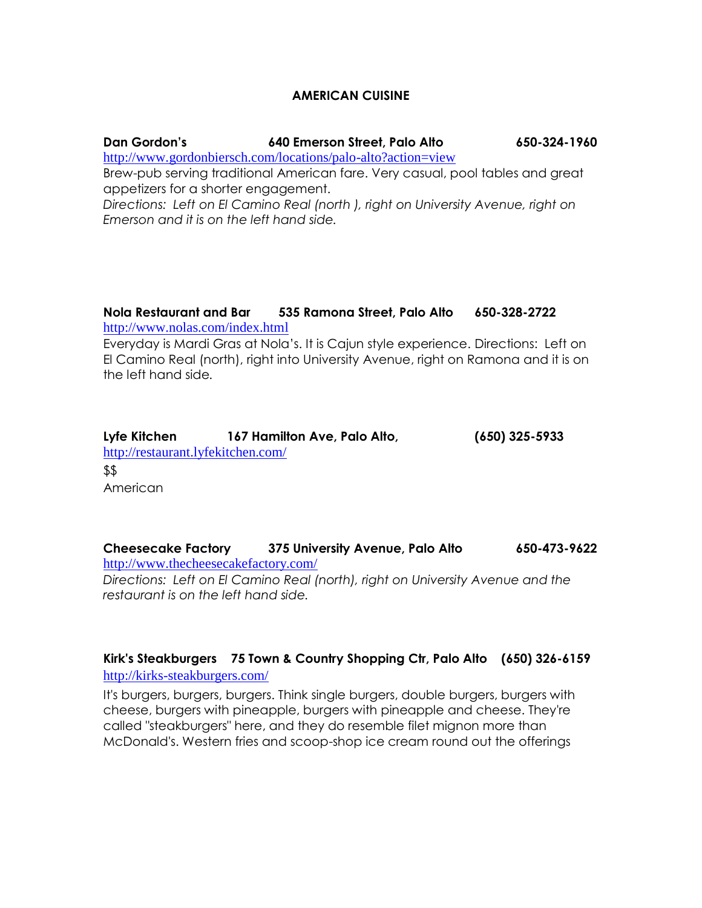#### **AMERICAN CUISINE**

#### **Dan Gordon's 640 Emerson Street, Palo Alto 650-324-1960**

[http://www.gordonbiersch.com/locations/palo-alto?action=view](http://m.mainstreethub.com/dangordons)

Brew-pub serving traditional American fare. Very casual, pool tables and great appetizers for a shorter engagement.

*Directions: Left on El Camino Real (north ), right on University Avenue, right on Emerson and it is on the left hand side.*

#### **Nola Restaurant and Bar 535 Ramona Street, Palo Alto 650-328-2722** <http://www.nolas.com/index.html>

Everyday is Mardi Gras at Nola's. It is Cajun style experience. Directions: Left on El Camino Real (north), right into University Avenue, right on Ramona and it is on the left hand side*.*

| Lyfe Kitchen                       | 167 Hamilton Ave, Palo Alto, | $(650)$ 325-5933 |
|------------------------------------|------------------------------|------------------|
| http://restaurant.lyfekitchen.com/ |                              |                  |
| \$\$                               |                              |                  |
| American                           |                              |                  |

**Cheesecake Factory 375 University Avenue, Palo Alto 650-473-9622** <http://www.thecheesecakefactory.com/> *Directions: Left on El Camino Real (north), right on University Avenue and the restaurant is on the left hand side.*

## **Kirk's Steakburgers 75 Town & Country Shopping Ctr, Palo Alto (650) 326-6159** <http://kirks-steakburgers.com/>

It's burgers, burgers, burgers. Think single burgers, double burgers, burgers with cheese, burgers with pineapple, burgers with pineapple and cheese. They're called "steakburgers" here, and they do resemble filet mignon more than McDonald's. Western fries and scoop-shop ice cream round out the offerings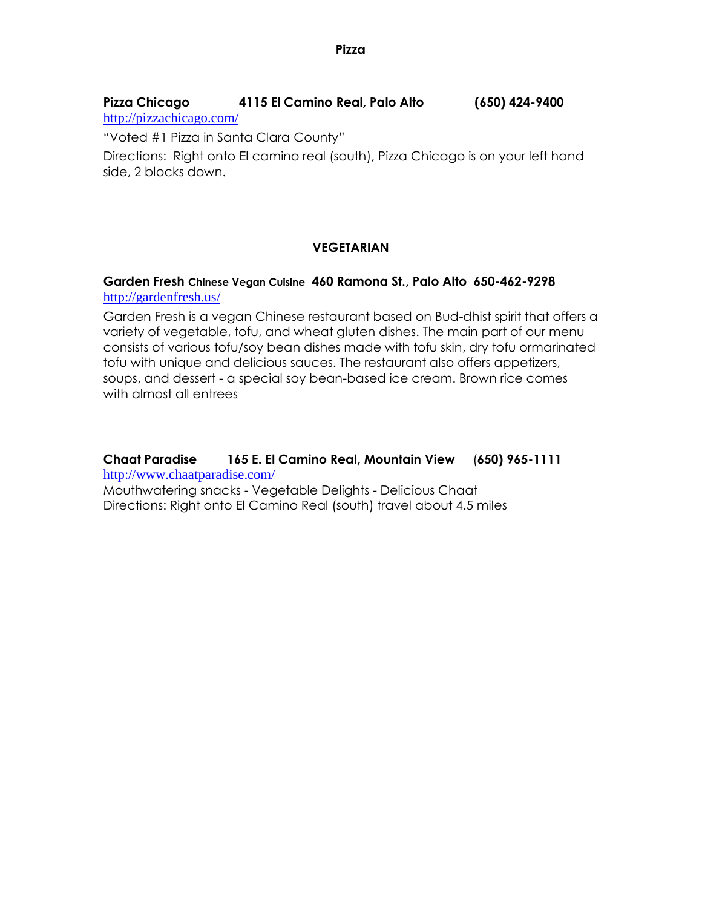# **Pizza Chicago 4115 El Camino Real, Palo Alto (650) 424-9400**

<http://pizzachicago.com/>

"Voted #1 Pizza in Santa Clara County"

Directions: Right onto El camino real (south), Pizza Chicago is on your left hand side, 2 blocks down.

## **VEGETARIAN**

## **Garden Fresh Chinese Vegan Cuisine 460 Ramona St., Palo Alto 650-462-9298** <http://gardenfresh.us/>

Garden Fresh is a vegan Chinese restaurant based on Bud-dhist spirit that offers a variety of vegetable, tofu, and wheat gluten dishes. The main part of our menu consists of various tofu/soy bean dishes made with tofu skin, dry tofu ormarinated tofu with unique and delicious sauces. The restaurant also offers appetizers, soups, and dessert - a special soy bean-based ice cream. Brown rice comes with almost all entrees

## **Chaat Paradise 165 E. El Camino Real, Mountain View** (**650) 965-1111** <http://www.chaatparadise.com/>

Mouthwatering snacks - Vegetable Delights - Delicious Chaat Directions: Right onto El Camino Real (south) travel about 4.5 miles